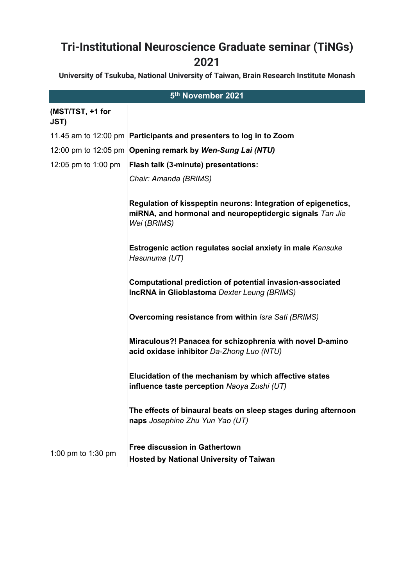## **Tri-Institutional Neuroscience Graduate seminar (TiNGs) 2021**

**University of Tsukuba, National University of Taiwan, Brain Research Institute Monash** 

| 5th November 2021        |                                                                                                                                          |  |
|--------------------------|------------------------------------------------------------------------------------------------------------------------------------------|--|
| (MST/TST, +1 for<br>JST) |                                                                                                                                          |  |
|                          | 11.45 am to 12:00 pm <b>Participants and presenters to log in to Zoom</b>                                                                |  |
|                          | 12:00 pm to 12:05 pm   Opening remark by Wen-Sung Lai (NTU)                                                                              |  |
| 12:05 pm to 1:00 pm      | Flash talk (3-minute) presentations:                                                                                                     |  |
|                          | Chair: Amanda (BRIMS)                                                                                                                    |  |
|                          | Regulation of kisspeptin neurons: Integration of epigenetics,<br>miRNA, and hormonal and neuropeptidergic signals Tan Jie<br>Wei (BRIMS) |  |
|                          | <b>Estrogenic action regulates social anxiety in male Kansuke</b><br>Hasunuma (UT)                                                       |  |
|                          | Computational prediction of potential invasion-associated<br><b>IncRNA in Glioblastoma</b> Dexter Leung (BRIMS)                          |  |
|                          | <b>Overcoming resistance from within Isra Sati (BRIMS)</b>                                                                               |  |
|                          | Miraculous?! Panacea for schizophrenia with novel D-amino<br>acid oxidase inhibitor Da-Zhong Luo (NTU)                                   |  |
|                          | Elucidation of the mechanism by which affective states<br>influence taste perception Naoya Zushi (UT)                                    |  |
|                          | The effects of binaural beats on sleep stages during afternoon<br>naps Josephine Zhu Yun Yao (UT)                                        |  |
| 1:00 pm to 1:30 pm       | <b>Free discussion in Gathertown</b><br><b>Hosted by National University of Taiwan</b>                                                   |  |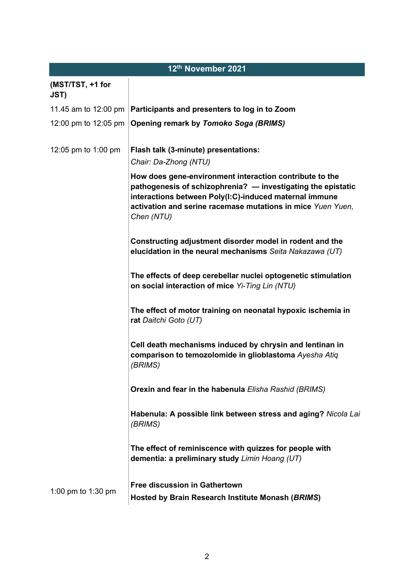| 12th November 2021              |                                                                                                                                                                                                                                                                |  |
|---------------------------------|----------------------------------------------------------------------------------------------------------------------------------------------------------------------------------------------------------------------------------------------------------------|--|
| (MST/TST, +1 for<br><b>JST)</b> |                                                                                                                                                                                                                                                                |  |
| 11.45 am to 12:00 pm            | Participants and presenters to log in to Zoom                                                                                                                                                                                                                  |  |
| 12:00 pm to 12:05 pm            | <b>Opening remark by Tomoko Soga (BRIMS)</b>                                                                                                                                                                                                                   |  |
| 12:05 pm to 1:00 pm             | Flash talk (3-minute) presentations:<br>Chair: Da-Zhong (NTU)                                                                                                                                                                                                  |  |
|                                 | How does gene-environment interaction contribute to the<br>pathogenesis of schizophrenia? - investigating the epistatic<br>interactions between Poly(I:C)-induced maternal immune<br>activation and serine racemase mutations in mice Yuen Yuen,<br>Chen (NTU) |  |
|                                 | Constructing adjustment disorder model in rodent and the<br>elucidation in the neural mechanisms Seita Nakazawa (UT)                                                                                                                                           |  |
|                                 | The effects of deep cerebellar nuclei optogenetic stimulation<br>on social interaction of mice Yi-Ting Lin (NTU)                                                                                                                                               |  |
|                                 | The effect of motor training on neonatal hypoxic ischemia in<br>rat Daitchi Goto (UT)                                                                                                                                                                          |  |
|                                 | Cell death mechanisms induced by chrysin and lentinan in<br>comparison to temozolomide in glioblastoma Ayesha Atiq<br>(BRIMS)                                                                                                                                  |  |
|                                 | <b>Orexin and fear in the habenula Elisha Rashid (BRIMS)</b>                                                                                                                                                                                                   |  |
|                                 | Habenula: A possible link between stress and aging? Nicola Lai<br>(BRIMS)                                                                                                                                                                                      |  |
|                                 | The effect of reminiscence with quizzes for people with<br>dementia: a preliminary study Limin Hoang (UT)                                                                                                                                                      |  |
| 1:00 pm to 1:30 pm              | <b>Free discussion in Gathertown</b>                                                                                                                                                                                                                           |  |
|                                 | Hosted by Brain Research Institute Monash (BRIMS)                                                                                                                                                                                                              |  |